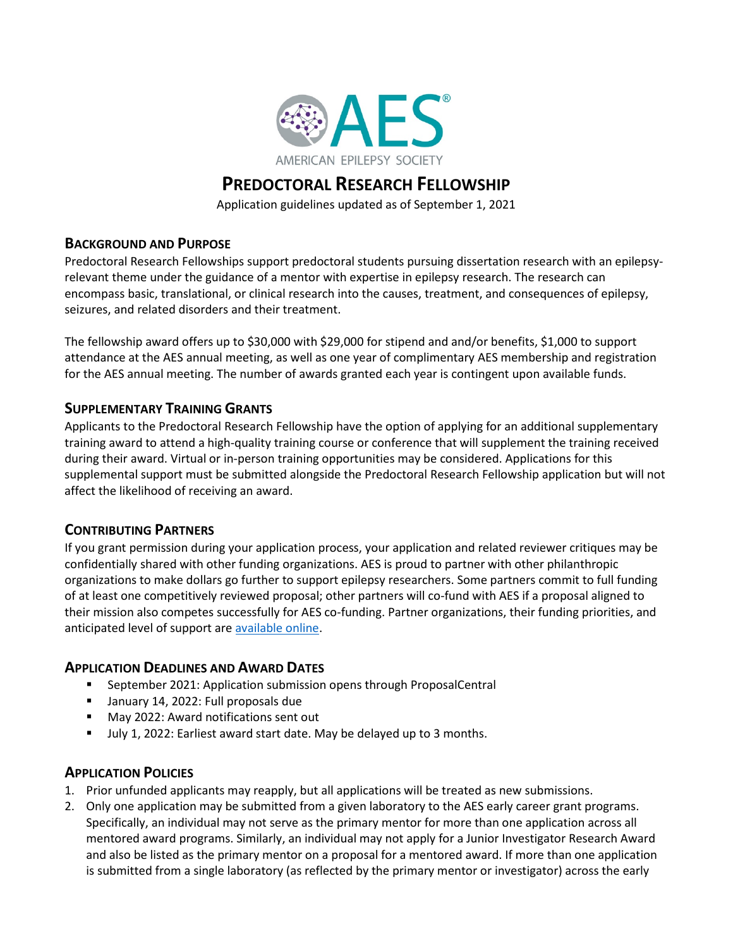

# **PREDOCTORAL RESEARCH FELLOWSHIP**

Application guidelines updated as of September 1, 2021

# **BACKGROUND AND PURPOSE**

Predoctoral Research Fellowships support predoctoral students pursuing dissertation research with an epilepsyrelevant theme under the guidance of a mentor with expertise in epilepsy research. The research can encompass basic, translational, or clinical research into the causes, treatment, and consequences of epilepsy, seizures, and related disorders and their treatment.

The fellowship award offers up to \$30,000 with \$29,000 for stipend and and/or benefits, \$1,000 to support attendance at the AES annual meeting, as well as one year of complimentary AES membership and registration for the AES annual meeting. The number of awards granted each year is contingent upon available funds.

# **SUPPLEMENTARY TRAINING GRANTS**

Applicants to the Predoctoral Research Fellowship have the option of applying for an additional supplementary training award to attend a high-quality training course or conference that will supplement the training received during their award. Virtual or in-person training opportunities may be considered. Applications for this supplemental support must be submitted alongside the Predoctoral Research Fellowship application but will not affect the likelihood of receiving an award.

# **CONTRIBUTING PARTNERS**

If you grant permission during your application process, your application and related reviewer critiques may be confidentially shared with other funding organizations. AES is proud to partner with other philanthropic organizations to make dollars go further to support epilepsy researchers. Some partners commit to full funding of at least one competitively reviewed proposal; other partners will co-fund with AES if a proposal aligned to their mission also competes successfully for AES co-funding. Partner organizations, their funding priorities, and anticipated level of support ar[e available online.](https://www.aesnet.org/research-funding/funding/early-career)

# **APPLICATION DEADLINES AND AWARD DATES**

- **EXECTE September 2021: Application submission opens through ProposalCentral**
- **January 14, 2022: Full proposals due**
- **May 2022: Award notifications sent out**
- July 1, 2022: Earliest award start date. May be delayed up to 3 months.

# **APPLICATION POLICIES**

- 1. Prior unfunded applicants may reapply, but all applications will be treated as new submissions.
- 2. Only one application may be submitted from a given laboratory to the AES early career grant programs. Specifically, an individual may not serve as the primary mentor for more than one application across all mentored award programs. Similarly, an individual may not apply for a Junior Investigator Research Award and also be listed as the primary mentor on a proposal for a mentored award. If more than one application is submitted from a single laboratory (as reflected by the primary mentor or investigator) across the early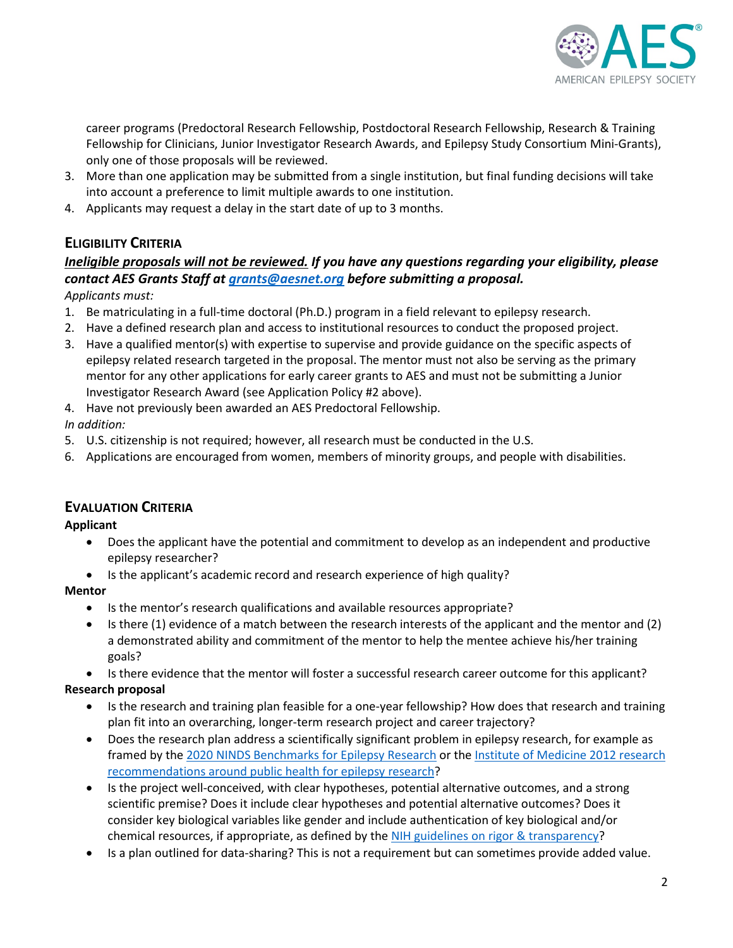

career programs (Predoctoral Research Fellowship, Postdoctoral Research Fellowship, Research & Training Fellowship for Clinicians, Junior Investigator Research Awards, and Epilepsy Study Consortium Mini-Grants), only one of those proposals will be reviewed.

- 3. More than one application may be submitted from a single institution, but final funding decisions will take into account a preference to limit multiple awards to one institution.
- 4. Applicants may request a delay in the start date of up to 3 months.

# **ELIGIBILITY CRITERIA**

# *Ineligible proposals will not be reviewed. If you have any questions regarding your eligibility, please contact AES Grants Staff at [grants@aesnet.org](mailto:grants@aesnet.org) before submitting a proposal.*

*Applicants must:*

- 1. Be matriculating in a full-time doctoral (Ph.D.) program in a field relevant to epilepsy research.
- 2. Have a defined research plan and access to institutional resources to conduct the proposed project.
- 3. Have a qualified mentor(s) with expertise to supervise and provide guidance on the specific aspects of epilepsy related research targeted in the proposal. The mentor must not also be serving as the primary mentor for any other applications for early career grants to AES and must not be submitting a Junior Investigator Research Award (see Application Policy #2 above).
- 4. Have not previously been awarded an AES Predoctoral Fellowship.

*In addition:*

- 5. U.S. citizenship is not required; however, all research must be conducted in the U.S.
- 6. Applications are encouraged from women, members of minority groups, and people with disabilities.

# **EVALUATION CRITERIA**

**Applicant**

- Does the applicant have the potential and commitment to develop as an independent and productive epilepsy researcher?
- Is the applicant's academic record and research experience of high quality?

## **Mentor**

- Is the mentor's research qualifications and available resources appropriate?
- Is there (1) evidence of a match between the research interests of the applicant and the mentor and (2) a demonstrated ability and commitment of the mentor to help the mentee achieve his/her training goals?
- Is there evidence that the mentor will foster a successful research career outcome for this applicant?

## **Research proposal**

- Is the research and training plan feasible for a one-year fellowship? How does that research and training plan fit into an overarching, longer-term research project and career trajectory?
- Does the research plan address a scientifically significant problem in epilepsy research, for example as framed by the 2020 [NINDS Benchmarks for Epilepsy Research](https://www.ninds.nih.gov/About-NINDS/Strategic-Plans-Evaluations/Strategic-Plans/2020-NINDS-Benchmarks-Epilepsy-Research) or th[e Institute of Medicine 2012 research](http://nationalacademies.org/HMD/Reports/2012/Epilepsy-Across-the-Spectrum.aspx)  [recommendations around public health for epilepsy research?](http://nationalacademies.org/HMD/Reports/2012/Epilepsy-Across-the-Spectrum.aspx)
- Is the project well-conceived, with clear hypotheses, potential alternative outcomes, and a strong scientific premise? Does it include clear hypotheses and potential alternative outcomes? Does it consider key biological variables like gender and include authentication of key biological and/or chemical resources, if appropriate, as defined by the [NIH guidelines on rigor & transparency?](https://grants.nih.gov/grants/peer/guidelines_general/Reviewer_Guidance_on_Rigor_and_Transparency.pdf)
- Is a plan outlined for data-sharing? This is not a requirement but can sometimes provide added value.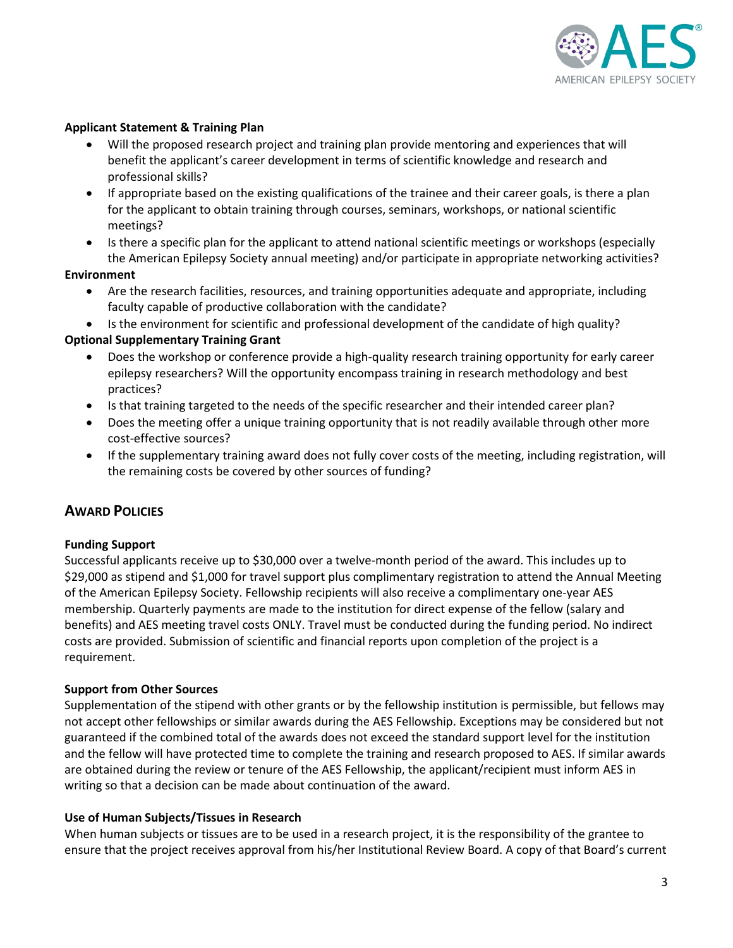

## **Applicant Statement & Training Plan**

- Will the proposed research project and training plan provide mentoring and experiences that will benefit the applicant's career development in terms of scientific knowledge and research and professional skills?
- If appropriate based on the existing qualifications of the trainee and their career goals, is there a plan for the applicant to obtain training through courses, seminars, workshops, or national scientific meetings?
- Is there a specific plan for the applicant to attend national scientific meetings or workshops (especially the American Epilepsy Society annual meeting) and/or participate in appropriate networking activities?

#### **Environment**

- Are the research facilities, resources, and training opportunities adequate and appropriate, including faculty capable of productive collaboration with the candidate?
- Is the environment for scientific and professional development of the candidate of high quality?

## **Optional Supplementary Training Grant**

- Does the workshop or conference provide a high-quality research training opportunity for early career epilepsy researchers? Will the opportunity encompass training in research methodology and best practices?
- Is that training targeted to the needs of the specific researcher and their intended career plan?
- Does the meeting offer a unique training opportunity that is not readily available through other more cost-effective sources?
- If the supplementary training award does not fully cover costs of the meeting, including registration, will the remaining costs be covered by other sources of funding?

# **AWARD POLICIES**

## **Funding Support**

Successful applicants receive up to \$30,000 over a twelve-month period of the award. This includes up to \$29,000 as stipend and \$1,000 for travel support plus complimentary registration to attend the Annual Meeting of the American Epilepsy Society. Fellowship recipients will also receive a complimentary one-year AES membership. Quarterly payments are made to the institution for direct expense of the fellow (salary and benefits) and AES meeting travel costs ONLY. Travel must be conducted during the funding period. No indirect costs are provided. Submission of scientific and financial reports upon completion of the project is a requirement.

## **Support from Other Sources**

Supplementation of the stipend with other grants or by the fellowship institution is permissible, but fellows may not accept other fellowships or similar awards during the AES Fellowship. Exceptions may be considered but not guaranteed if the combined total of the awards does not exceed the standard support level for the institution and the fellow will have protected time to complete the training and research proposed to AES. If similar awards are obtained during the review or tenure of the AES Fellowship, the applicant/recipient must inform AES in writing so that a decision can be made about continuation of the award.

## **Use of Human Subjects/Tissues in Research**

When human subjects or tissues are to be used in a research project, it is the responsibility of the grantee to ensure that the project receives approval from his/her Institutional Review Board. A copy of that Board's current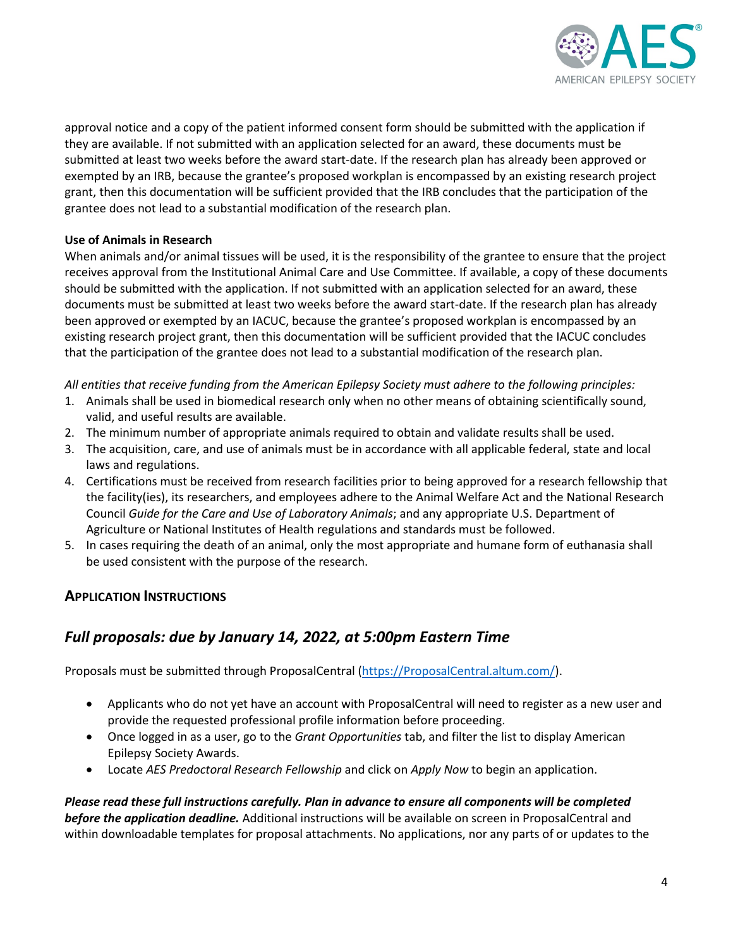

approval notice and a copy of the patient informed consent form should be submitted with the application if they are available. If not submitted with an application selected for an award, these documents must be submitted at least two weeks before the award start-date. If the research plan has already been approved or exempted by an IRB, because the grantee's proposed workplan is encompassed by an existing research project grant, then this documentation will be sufficient provided that the IRB concludes that the participation of the grantee does not lead to a substantial modification of the research plan.

## **Use of Animals in Research**

When animals and/or animal tissues will be used, it is the responsibility of the grantee to ensure that the project receives approval from the Institutional Animal Care and Use Committee. If available, a copy of these documents should be submitted with the application. If not submitted with an application selected for an award, these documents must be submitted at least two weeks before the award start-date. If the research plan has already been approved or exempted by an IACUC, because the grantee's proposed workplan is encompassed by an existing research project grant, then this documentation will be sufficient provided that the IACUC concludes that the participation of the grantee does not lead to a substantial modification of the research plan.

*All entities that receive funding from the American Epilepsy Society must adhere to the following principles:*

- 1. Animals shall be used in biomedical research only when no other means of obtaining scientifically sound, valid, and useful results are available.
- 2. The minimum number of appropriate animals required to obtain and validate results shall be used.
- 3. The acquisition, care, and use of animals must be in accordance with all applicable federal, state and local laws and regulations.
- 4. Certifications must be received from research facilities prior to being approved for a research fellowship that the facility(ies), its researchers, and employees adhere to the Animal Welfare Act and the National Research Council *Guide for the Care and Use of Laboratory Animals*; and any appropriate U.S. Department of Agriculture or National Institutes of Health regulations and standards must be followed.
- 5. In cases requiring the death of an animal, only the most appropriate and humane form of euthanasia shall be used consistent with the purpose of the research.

# **APPLICATION INSTRUCTIONS**

# *Full proposals: due by January 14, 2022, at 5:00pm Eastern Time*

Proposals must be submitted through ProposalCentral [\(https://ProposalCentral.altum.com/\)](https://proposalcentral.altum.com/).

- Applicants who do not yet have an account with ProposalCentral will need to register as a new user and provide the requested professional profile information before proceeding.
- Once logged in as a user, go to the *Grant Opportunities* tab, and filter the list to display American Epilepsy Society Awards.
- Locate *AES Predoctoral Research Fellowship* and click on *Apply Now* to begin an application.

*Please read these full instructions carefully. Plan in advance to ensure all components will be completed before the application deadline.* Additional instructions will be available on screen in ProposalCentral and within downloadable templates for proposal attachments. No applications, nor any parts of or updates to the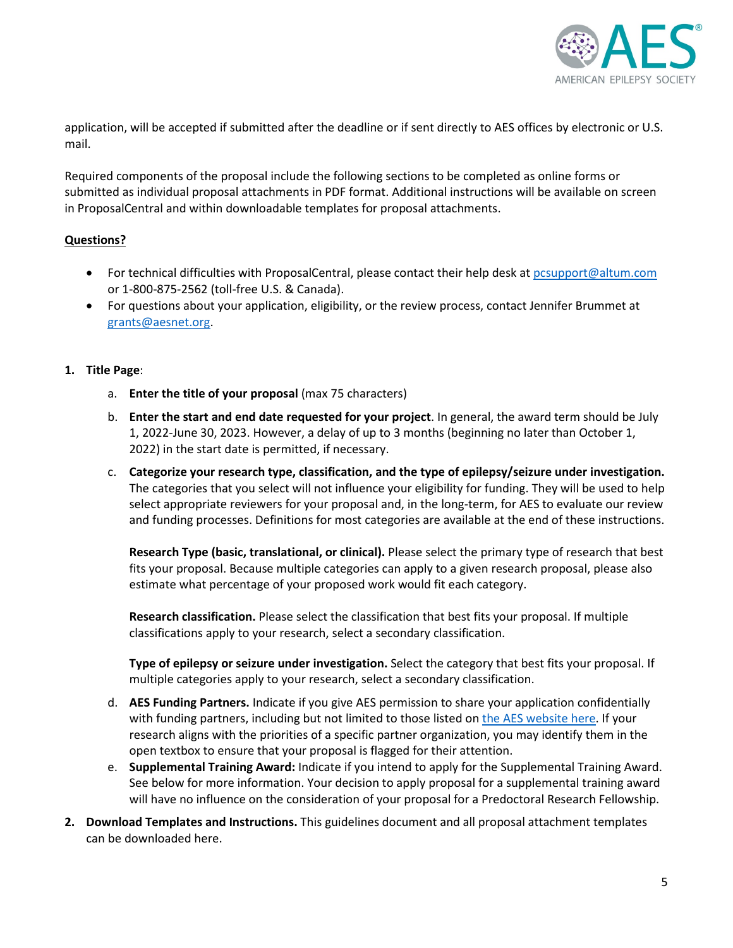

application, will be accepted if submitted after the deadline or if sent directly to AES offices by electronic or U.S. mail.

Required components of the proposal include the following sections to be completed as online forms or submitted as individual proposal attachments in PDF format. Additional instructions will be available on screen in ProposalCentral and within downloadable templates for proposal attachments.

## **Questions?**

- For technical difficulties with ProposalCentral, please contact their help desk a[t pcsupport@altum.com](mailto:pcsupport@altum.com) or 1-800-875-2562 (toll-free U.S. & Canada).
- For questions about your application, eligibility, or the review process, contact Jennifer Brummet at [grants@aesnet.org.](mailto:grants@aesnet.org)

## **1. Title Page**:

- a. **Enter the title of your proposal** (max 75 characters)
- b. **Enter the start and end date requested for your project**. In general, the award term should be July 1, 2022-June 30, 2023. However, a delay of up to 3 months (beginning no later than October 1, 2022) in the start date is permitted, if necessary.
- c. **Categorize your research type, classification, and the type of epilepsy/seizure under investigation.**  The categories that you select will not influence your eligibility for funding. They will be used to help select appropriate reviewers for your proposal and, in the long-term, for AES to evaluate our review and funding processes. Definitions for most categories are available at the end of these instructions.

**Research Type (basic, translational, or clinical).** Please select the primary type of research that best fits your proposal. Because multiple categories can apply to a given research proposal, please also estimate what percentage of your proposed work would fit each category.

**Research classification.** Please select the classification that best fits your proposal. If multiple classifications apply to your research, select a secondary classification.

**Type of epilepsy or seizure under investigation.** Select the category that best fits your proposal. If multiple categories apply to your research, select a secondary classification.

- d. **AES Funding Partners.** Indicate if you give AES permission to share your application confidentially with funding partners, including but not limited to those listed on [the AES website here.](https://www.aesnet.org/research/early_career_funding) If your research aligns with the priorities of a specific partner organization, you may identify them in the open textbox to ensure that your proposal is flagged for their attention.
- e. **Supplemental Training Award:** Indicate if you intend to apply for the Supplemental Training Award. See below for more information. Your decision to apply proposal for a supplemental training award will have no influence on the consideration of your proposal for a Predoctoral Research Fellowship.
- **2. Download Templates and Instructions.** This guidelines document and all proposal attachment templates can be downloaded here.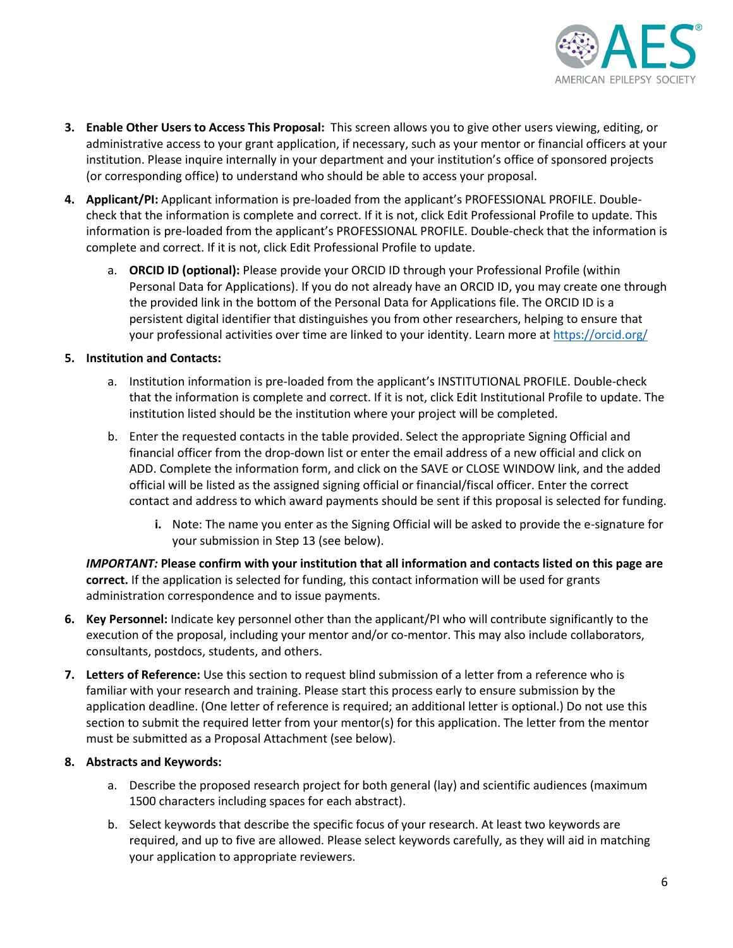

- **3. Enable Other Users to Access This Proposal:** This screen allows you to give other users viewing, editing, or administrative access to your grant application, if necessary, such as your mentor or financial officers at your institution. Please inquire internally in your department and your institution's office of sponsored projects (or corresponding office) to understand who should be able to access your proposal.
- **4. Applicant/PI:** Applicant information is pre-loaded from the applicant's PROFESSIONAL PROFILE. Doublecheck that the information is complete and correct. If it is not, click Edit Professional Profile to update. This information is pre-loaded from the applicant's PROFESSIONAL PROFILE. Double-check that the information is complete and correct. If it is not, click Edit Professional Profile to update.
	- a. **ORCID ID (optional):** Please provide your ORCID ID through your Professional Profile (within Personal Data for Applications). If you do not already have an ORCID ID, you may create one through the provided link in the bottom of the Personal Data for Applications file. The ORCID ID is a persistent digital identifier that distinguishes you from other researchers, helping to ensure that your professional activities over time are linked to your identity. Learn more at https://orcid.org/

## **5. Institution and Contacts:**

- a. Institution information is pre-loaded from the applicant's INSTITUTIONAL PROFILE. Double-check that the information is complete and correct. If it is not, click Edit Institutional Profile to update. The institution listed should be the institution where your project will be completed.
- b. Enter the requested contacts in the table provided. Select the appropriate Signing Official and financial officer from the drop-down list or enter the email address of a new official and click on ADD. Complete the information form, and click on the SAVE or CLOSE WINDOW link, and the added official will be listed as the assigned signing official or financial/fiscal officer. Enter the correct contact and address to which award payments should be sent if this proposal is selected for funding.
	- **i.** Note: The name you enter as the Signing Official will be asked to provide the e-signature for your submission in Step 13 (see below).

*IMPORTANT:* **Please confirm with your institution that all information and contacts listed on this page are correct.** If the application is selected for funding, this contact information will be used for grants administration correspondence and to issue payments.

- **6. Key Personnel:** Indicate key personnel other than the applicant/PI who will contribute significantly to the execution of the proposal, including your mentor and/or co-mentor. This may also include collaborators, consultants, postdocs, students, and others.
- **7. Letters of Reference:** Use this section to request blind submission of a letter from a reference who is familiar with your research and training. Please start this process early to ensure submission by the application deadline. (One letter of reference is required; an additional letter is optional.) Do not use this section to submit the required letter from your mentor(s) for this application. The letter from the mentor must be submitted as a Proposal Attachment (see below).

## **8. Abstracts and Keywords:**

- a. Describe the proposed research project for both general (lay) and scientific audiences (maximum 1500 characters including spaces for each abstract).
- b. Select keywords that describe the specific focus of your research. At least two keywords are required, and up to five are allowed. Please select keywords carefully, as they will aid in matching your application to appropriate reviewers.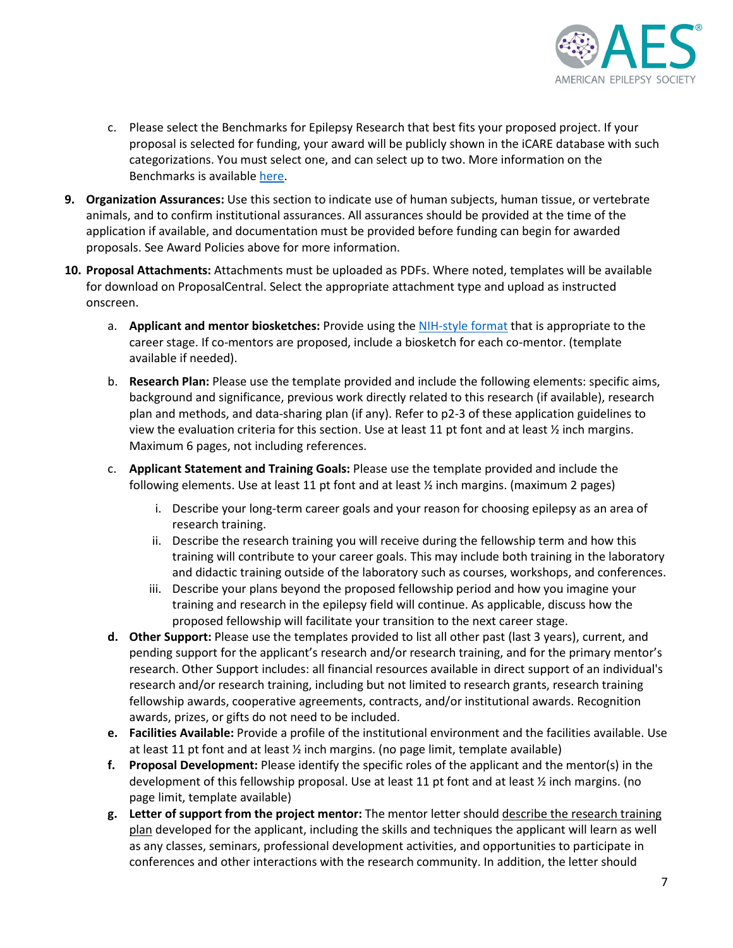

- c. Please select the Benchmarks for Epilepsy Research that best fits your proposed project. If your proposal is selected for funding, your award will be publicly shown in the iCARE database with such categorizations. You must select one, and can select up to two. More information on the Benchmarks is availabl[e here.](https://www.ninds.nih.gov/About-NINDS/Strategic-Plans-Evaluations/Strategic-Plans/2020-NINDS-Benchmarks-Epilepsy-Research)
- **9. Organization Assurances:** Use this section to indicate use of human subjects, human tissue, or vertebrate animals, and to confirm institutional assurances. All assurances should be provided at the time of the application if available, and documentation must be provided before funding can begin for awarded proposals. See Award Policies above for more information.
- **10. Proposal Attachments:** Attachments must be uploaded as PDFs. Where noted, templates will be available for download on ProposalCentral. Select the appropriate attachment type and upload as instructed onscreen.
	- a. **Applicant and mentor biosketches:** Provide using the [NIH-style format](https://grants.nih.gov/grants/forms/biosketch.htm) that is appropriate to the career stage. If co-mentors are proposed, include a biosketch for each co-mentor. (template available if needed).
	- b. **Research Plan:** Please use the template provided and include the following elements: specific aims, background and significance, previous work directly related to this research (if available), research plan and methods, and data-sharing plan (if any). Refer to p2-3 of these application guidelines to view the evaluation criteria for this section. Use at least 11 pt font and at least ½ inch margins. Maximum 6 pages, not including references.
	- c. **Applicant Statement and Training Goals:** Please use the template provided and include the following elements. Use at least 11 pt font and at least ½ inch margins. (maximum 2 pages)
		- i. Describe your long-term career goals and your reason for choosing epilepsy as an area of research training.
		- ii. Describe the research training you will receive during the fellowship term and how this training will contribute to your career goals. This may include both training in the laboratory and didactic training outside of the laboratory such as courses, workshops, and conferences.
		- iii. Describe your plans beyond the proposed fellowship period and how you imagine your training and research in the epilepsy field will continue. As applicable, discuss how the proposed fellowship will facilitate your transition to the next career stage.
	- **d. Other Support:** Please use the templates provided to list all other past (last 3 years), current, and pending support for the applicant's research and/or research training, and for the primary mentor's research. Other Support includes: all financial resources available in direct support of an individual's research and/or research training, including but not limited to research grants, research training fellowship awards, cooperative agreements, contracts, and/or institutional awards. Recognition awards, prizes, or gifts do not need to be included.
	- **e. Facilities Available:** Provide a profile of the institutional environment and the facilities available. Use at least 11 pt font and at least ½ inch margins. (no page limit, template available)
	- **f. Proposal Development:** Please identify the specific roles of the applicant and the mentor(s) in the development of this fellowship proposal. Use at least 11 pt font and at least ½ inch margins. (no page limit, template available)
	- **g. Letter of support from the project mentor:** The mentor letter should describe the research training plan developed for the applicant, including the skills and techniques the applicant will learn as well as any classes, seminars, professional development activities, and opportunities to participate in conferences and other interactions with the research community. In addition, the letter should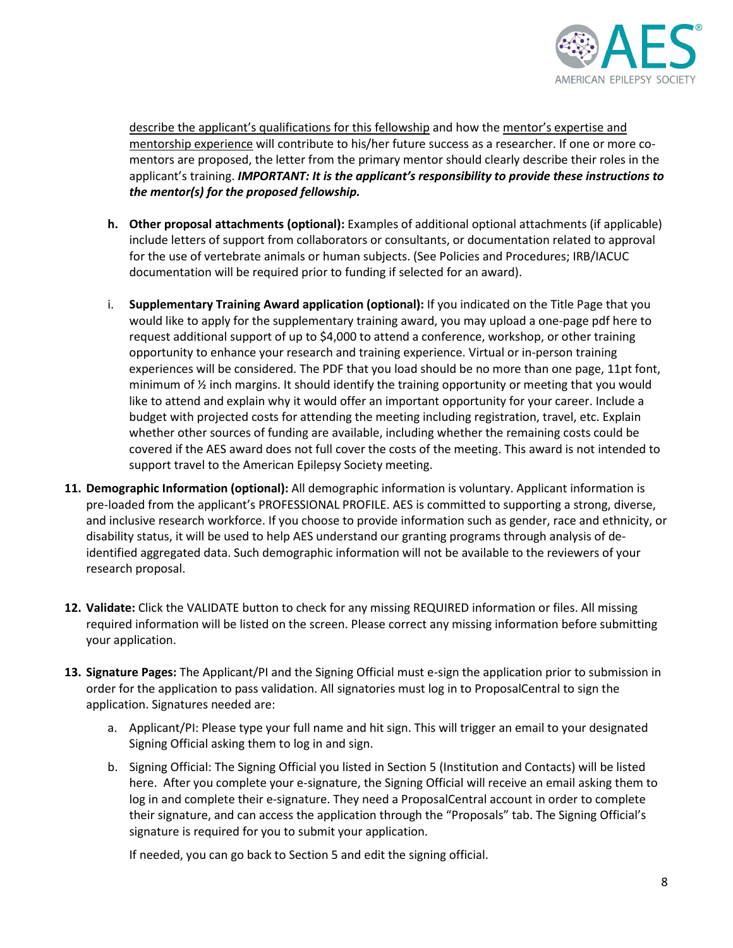

describe the applicant's qualifications for this fellowship and how the mentor's expertise and mentorship experience will contribute to his/her future success as a researcher. If one or more comentors are proposed, the letter from the primary mentor should clearly describe their roles in the applicant's training. *IMPORTANT: It is the applicant's responsibility to provide these instructions to the mentor(s) for the proposed fellowship.* 

- **h. Other proposal attachments (optional):** Examples of additional optional attachments (if applicable) include letters of support from collaborators or consultants, or documentation related to approval for the use of vertebrate animals or human subjects. (See Policies and Procedures; IRB/IACUC documentation will be required prior to funding if selected for an award).
- i. **Supplementary Training Award application (optional):** If you indicated on the Title Page that you would like to apply for the supplementary training award, you may upload a one-page pdf here to request additional support of up to \$4,000 to attend a conference, workshop, or other training opportunity to enhance your research and training experience. Virtual or in-person training experiences will be considered. The PDF that you load should be no more than one page, 11pt font, minimum of  $\frac{1}{2}$  inch margins. It should identify the training opportunity or meeting that you would like to attend and explain why it would offer an important opportunity for your career. Include a budget with projected costs for attending the meeting including registration, travel, etc. Explain whether other sources of funding are available, including whether the remaining costs could be covered if the AES award does not full cover the costs of the meeting. This award is not intended to support travel to the American Epilepsy Society meeting.
- **11. Demographic Information (optional):** All demographic information is voluntary. Applicant information is pre-loaded from the applicant's PROFESSIONAL PROFILE. AES is committed to supporting a strong, diverse, and inclusive research workforce. If you choose to provide information such as gender, race and ethnicity, or disability status, it will be used to help AES understand our granting programs through analysis of deidentified aggregated data. Such demographic information will not be available to the reviewers of your research proposal.
- **12. Validate:** Click the VALIDATE button to check for any missing REQUIRED information or files. All missing required information will be listed on the screen. Please correct any missing information before submitting your application.
- **13. Signature Pages:** The Applicant/PI and the Signing Official must e-sign the application prior to submission in order for the application to pass validation. All signatories must log in to ProposalCentral to sign the application. Signatures needed are:
	- a. Applicant/PI: Please type your full name and hit sign. This will trigger an email to your designated Signing Official asking them to log in and sign.
	- b. Signing Official: The Signing Official you listed in Section 5 (Institution and Contacts) will be listed here. After you complete your e-signature, the Signing Official will receive an email asking them to log in and complete their e-signature. They need a ProposalCentral account in order to complete their signature, and can access the application through the "Proposals" tab. The Signing Official's signature is required for you to submit your application.

If needed, you can go back to Section 5 and edit the signing official.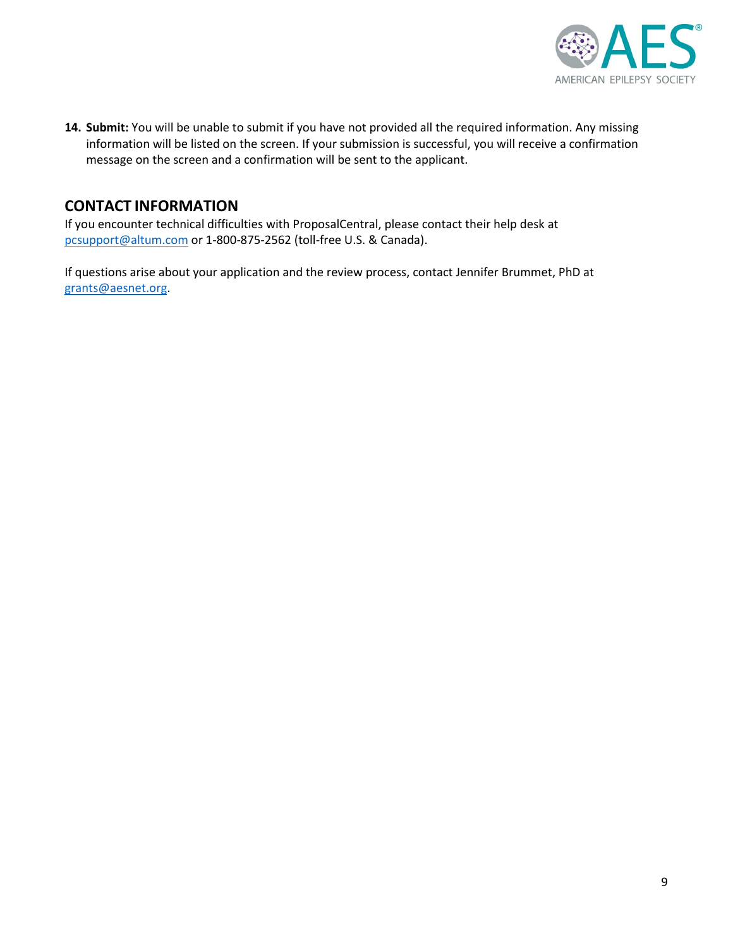

**14. Submit:** You will be unable to submit if you have not provided all the required information. Any missing information will be listed on the screen. If your submission is successful, you will receive a confirmation message on the screen and a confirmation will be sent to the applicant.

# **CONTACT INFORMATION**

If you encounter technical difficulties with ProposalCentral, please contact their help desk at [pcsupport@altum.com](mailto:pcsupport@altum.com) or 1-800-875-2562 (toll-free U.S. & Canada).

If questions arise about your application and the review process, contact Jennifer Brummet, PhD at [grants@aesnet.org.](mailto:grants@aesnet.org)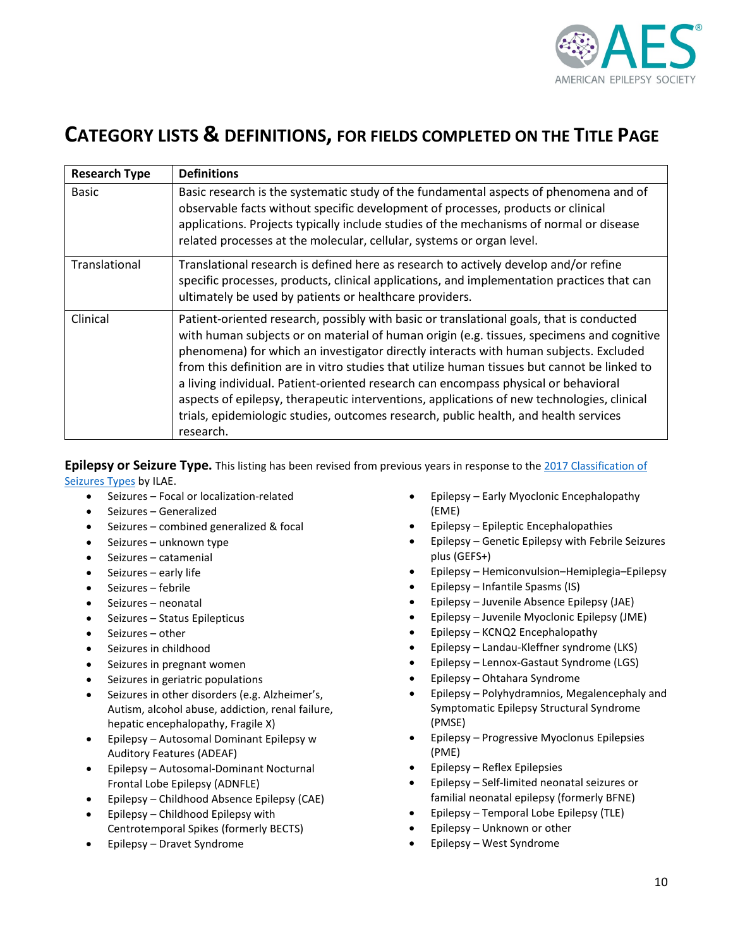

# **CATEGORY LISTS & DEFINITIONS, FOR FIELDS COMPLETED ON THE TITLE PAGE**

| <b>Research Type</b> | <b>Definitions</b>                                                                                                                                                                                                                                                                                                                                                                                                                                                                                                                                                                                                                                                       |
|----------------------|--------------------------------------------------------------------------------------------------------------------------------------------------------------------------------------------------------------------------------------------------------------------------------------------------------------------------------------------------------------------------------------------------------------------------------------------------------------------------------------------------------------------------------------------------------------------------------------------------------------------------------------------------------------------------|
| <b>Basic</b>         | Basic research is the systematic study of the fundamental aspects of phenomena and of<br>observable facts without specific development of processes, products or clinical<br>applications. Projects typically include studies of the mechanisms of normal or disease<br>related processes at the molecular, cellular, systems or organ level.                                                                                                                                                                                                                                                                                                                            |
| Translational        | Translational research is defined here as research to actively develop and/or refine<br>specific processes, products, clinical applications, and implementation practices that can<br>ultimately be used by patients or healthcare providers.                                                                                                                                                                                                                                                                                                                                                                                                                            |
| Clinical             | Patient-oriented research, possibly with basic or translational goals, that is conducted<br>with human subjects or on material of human origin (e.g. tissues, specimens and cognitive<br>phenomena) for which an investigator directly interacts with human subjects. Excluded<br>from this definition are in vitro studies that utilize human tissues but cannot be linked to<br>a living individual. Patient-oriented research can encompass physical or behavioral<br>aspects of epilepsy, therapeutic interventions, applications of new technologies, clinical<br>trials, epidemiologic studies, outcomes research, public health, and health services<br>research. |

**Epilepsy or Seizure Type.** This listing has been revised from previous years in response to the 2017 Classification of [Seizures Types](http://onlinelibrary.wiley.com/doi/10.1111/epi.13670/abstract) by ILAE.

- Seizures Focal or localization-related
- Seizures Generalized
- Seizures combined generalized & focal
- Seizures unknown type
- Seizures catamenial
- Seizures early life
- Seizures febrile
- Seizures neonatal
- Seizures Status Epilepticus
- Seizures other
- Seizures in childhood
- Seizures in pregnant women
- Seizures in geriatric populations
- Seizures in other disorders (e.g. Alzheimer's, Autism, alcohol abuse, addiction, renal failure, hepatic encephalopathy, Fragile X)
- Epilepsy Autosomal Dominant Epilepsy w Auditory Features (ADEAF)
- Epilepsy Autosomal-Dominant Nocturnal Frontal Lobe Epilepsy (ADNFLE)
- Epilepsy Childhood Absence Epilepsy (CAE)
- Epilepsy Childhood Epilepsy with Centrotemporal Spikes (formerly BECTS)
- Epilepsy Dravet Syndrome
- Epilepsy Early Myoclonic Encephalopathy (EME)
- Epilepsy Epileptic Encephalopathies
- Epilepsy Genetic Epilepsy with Febrile Seizures plus (GEFS+)
- Epilepsy Hemiconvulsion–Hemiplegia–Epilepsy
- Epilepsy Infantile Spasms (IS)
- Epilepsy Juvenile Absence Epilepsy (JAE)
- Epilepsy Juvenile Myoclonic Epilepsy (JME)
- Epilepsy KCNQ2 Encephalopathy
- Epilepsy Landau-Kleffner syndrome (LKS)
- Epilepsy Lennox-Gastaut Syndrome (LGS)
- Epilepsy Ohtahara Syndrome
- Epilepsy Polyhydramnios, Megalencephaly and Symptomatic Epilepsy Structural Syndrome (PMSE)
- Epilepsy Progressive Myoclonus Epilepsies (PME)
- Epilepsy Reflex Epilepsies
- Epilepsy Self-limited neonatal seizures or familial neonatal epilepsy (formerly BFNE)
- Epilepsy Temporal Lobe Epilepsy (TLE)
- Epilepsy Unknown or other
- Epilepsy West Syndrome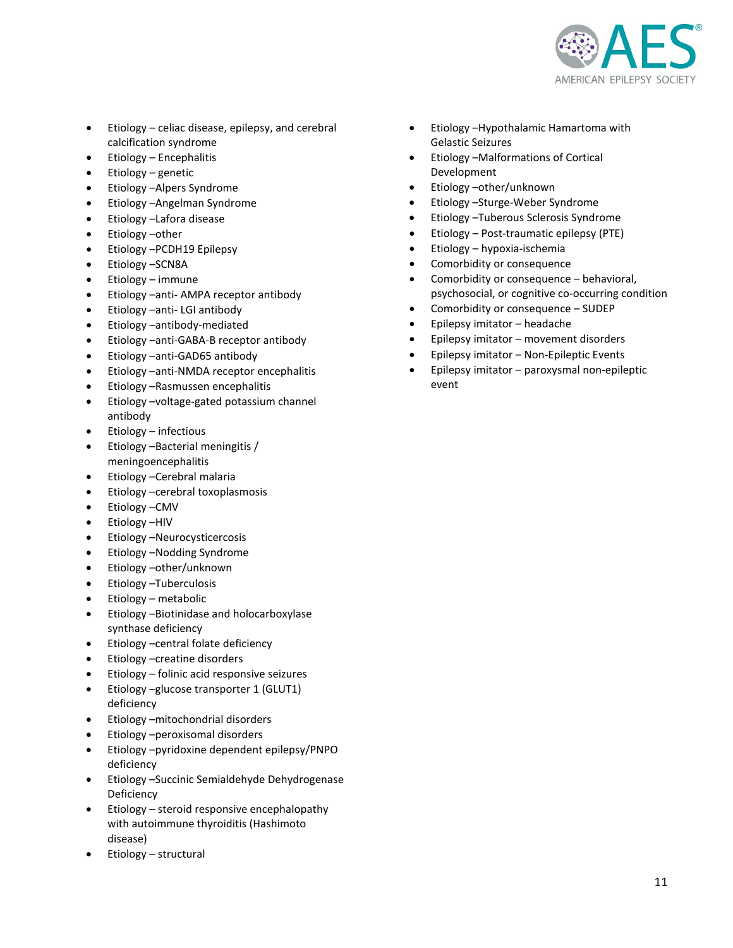

- Etiology celiac disease, epilepsy, and cerebral calcification syndrome
- Etiology Encephalitis
- Etiology genetic
- Etiology –Alpers Syndrome
- Etiology –Angelman Syndrome
- Etiology –Lafora disease
- Etiology other
- Etiology –PCDH19 Epilepsy
- Etiology –SCN8A
- Etiology immune
- Etiology –anti- AMPA receptor antibody
- Etiology –anti- LGI antibody
- Etiology –antibody-mediated
- Etiology –anti-GABA-B receptor antibody
- Etiology –anti-GAD65 antibody
- Etiology –anti-NMDA receptor encephalitis
- Etiology –Rasmussen encephalitis
- Etiology –voltage-gated potassium channel antibody
- Etiology infectious
- Etiology –Bacterial meningitis / meningoencephalitis
- Etiology –Cerebral malaria
- Etiology –cerebral toxoplasmosis
- Etiology CMV
- Etiology –HIV
- Etiology –Neurocysticercosis
- Etiology –Nodding Syndrome
- Etiology –other/unknown
- Etiology –Tuberculosis
- Etiology metabolic
- Etiology –Biotinidase and holocarboxylase synthase deficiency
- Etiology –central folate deficiency
- Etiology –creatine disorders
- Etiology folinic acid responsive seizures
- Etiology –glucose transporter 1 (GLUT1) deficiency
- Etiology –mitochondrial disorders
- Etiology –peroxisomal disorders
- Etiology –pyridoxine dependent epilepsy/PNPO deficiency
- Etiology –Succinic Semialdehyde Dehydrogenase Deficiency
- Etiology steroid responsive encephalopathy with autoimmune thyroiditis (Hashimoto disease)
- Etiology structural
- Etiology –Hypothalamic Hamartoma with Gelastic Seizures
- Etiology –Malformations of Cortical Development
- Etiology –other/unknown
- Etiology –Sturge-Weber Syndrome
- Etiology –Tuberous Sclerosis Syndrome
- Etiology Post-traumatic epilepsy (PTE)
- Etiology hypoxia-ischemia
- Comorbidity or consequence
- Comorbidity or consequence behavioral, psychosocial, or cognitive co-occurring condition
- Comorbidity or consequence SUDEP
- Epilepsy imitator headache
- Epilepsy imitator movement disorders
- Epilepsy imitator Non-Epileptic Events
- Epilepsy imitator paroxysmal non-epileptic event